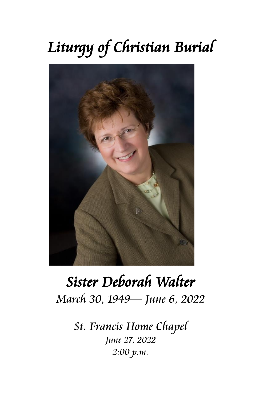# *Liturgy of Christian Burial*



# *Sister Deborah Walter March 30, 1949— June 6, 2022*

*St. Francis Home Chapel June 27, 2022 2:00 p.m.*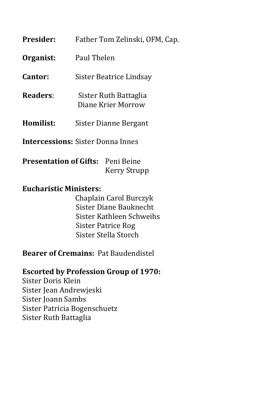| <b>Presider:</b> | Father Tom Zelinski, OFM, Cap.              |
|------------------|---------------------------------------------|
| Organist:        | Paul Thelen                                 |
| Cantor:          | Sister Beatrice Lindsay                     |
| Readers:         | Sister Ruth Battaglia<br>Diane Krier Morrow |
| Homilist:        | Sister Dianne Bergant                       |
|                  | <b>Intercessions:</b> Sister Donna Innes    |

**Presentation of Gifts:** Peni Beine Kerry Strupp

## **Eucharistic Ministers:**

 Chaplain Carol Burczyk Sister Diane Bauknecht Sister Kathleen Schweihs Sister Patrice Rog Sister Stella Storch

**Bearer of Cremains:** Pat Baudendistel

## **Escorted by Profession Group of 1970:**

Sister Doris Klein Sister Jean Andrewjeski Sister Joann Sambs Sister Patricia Bogenschuetz Sister Ruth Battaglia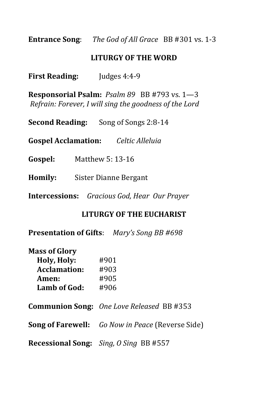**Entrance Song**: *The God of All Grace* BB #301 vs. 1-3

#### **LITURGY OF THE WORD**

**First Reading:** Judges 4:4-9

**Responsorial Psalm:** *Psalm 89* BB #793 vs. 1—3 *Refrain: Forever, I will sing the goodness of the Lord*

**Second Reading:** Song of Songs 2:8-14

**Gospel Acclamation:** *Celtic Alleluia*

- **Gospel:** Matthew 5: 13-16
- **Homily:** Sister Dianne Bergant
- **Intercessions:** *Gracious God, Hear Our Prayer*

#### **LITURGY OF THE EUCHARIST**

**Presentation of Gifts**: *Mary's Song BB #698*

| <b>Mass of Glory</b> |      |
|----------------------|------|
| Holy, Holy:          | #901 |
| <b>Acclamation:</b>  | #903 |
| Amen:                | #905 |
| <b>Lamb of God:</b>  | #906 |

**Communion Song:** *One Love Released* BB #353

**Song of Farewell:** *Go Now in Peace* (Reverse Side)

**Recessional Song:** *Sing, O Sing* BB #557